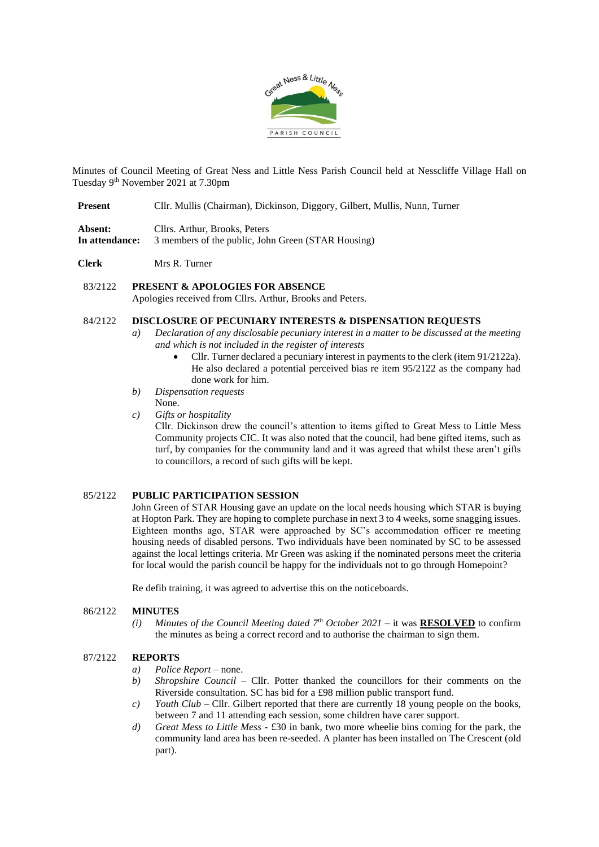

Minutes of Council Meeting of Great Ness and Little Ness Parish Council held at Nesscliffe Village Hall on Tuesday 9th November 2021 at 7.30pm

- **Absent:** Cllrs. Arthur, Brooks, Peters **In attendance:** 3 members of the public, John Green (STAR Housing)
- **Clerk** Mrs R. Turner

#### 83/2122 **PRESENT & APOLOGIES FOR ABSENCE**

Apologies received from Cllrs. Arthur, Brooks and Peters.

## 84/2122 **DISCLOSURE OF PECUNIARY INTERESTS & DISPENSATION REQUESTS**

- *a) Declaration of any disclosable pecuniary interest in a matter to be discussed at the meeting and which is not included in the register of interests*
	- Cllr. Turner declared a pecuniary interest in payments to the clerk (item 91/2122a). He also declared a potential perceived bias re item 95/2122 as the company had done work for him.
- *b) Dispensation requests*
- None.
- *c) Gifts or hospitality*

Cllr. Dickinson drew the council's attention to items gifted to Great Mess to Little Mess Community projects CIC. It was also noted that the council, had bene gifted items, such as turf, by companies for the community land and it was agreed that whilst these aren't gifts to councillors, a record of such gifts will be kept.

## 85/2122 **PUBLIC PARTICIPATION SESSION**

John Green of STAR Housing gave an update on the local needs housing which STAR is buying at Hopton Park. They are hoping to complete purchase in next 3 to 4 weeks, some snagging issues. Eighteen months ago, STAR were approached by SC's accommodation officer re meeting housing needs of disabled persons. Two individuals have been nominated by SC to be assessed against the local lettings criteria. Mr Green was asking if the nominated persons meet the criteria for local would the parish council be happy for the individuals not to go through Homepoint?

Re defib training, it was agreed to advertise this on the noticeboards.

#### 86/2122 **MINUTES**

*(i) Minutes of the Council Meeting dated*  $7<sup>th</sup> October 2021 - it was **RESOLVED** to confirm$ the minutes as being a correct record and to authorise the chairman to sign them.

## 87/2122 **REPORTS**

- *a) Police Report* none.
- *b) Shropshire Council*  Cllr. Potter thanked the councillors for their comments on the Riverside consultation. SC has bid for a £98 million public transport fund.
- *c*) *Youth Club Cllr.* Gilbert reported that there are currently 18 young people on the books, between 7 and 11 attending each session, some children have carer support.
- *d) Great Mess to Little Mess* £30 in bank, two more wheelie bins coming for the park, the community land area has been re-seeded. A planter has been installed on The Crescent (old part).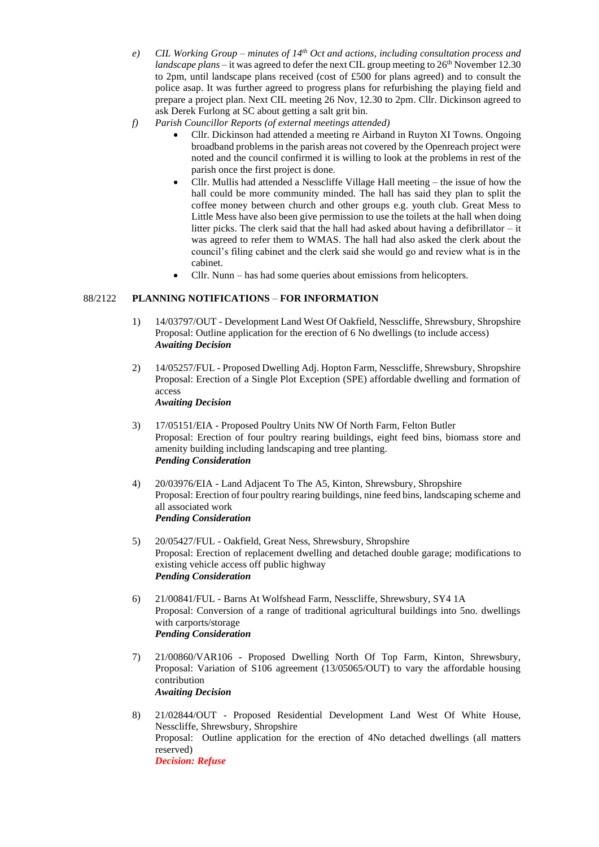- *e) CIL Working Group – minutes of 14th Oct and actions, including consultation process and landscape plans* – it was agreed to defer the next CIL group meeting to 26<sup>th</sup> November 12.30 to 2pm, until landscape plans received (cost of £500 for plans agreed) and to consult the police asap. It was further agreed to progress plans for refurbishing the playing field and prepare a project plan. Next CIL meeting 26 Nov, 12.30 to 2pm. Cllr. Dickinson agreed to ask Derek Furlong at SC about getting a salt grit bin.
- *f) Parish Councillor Reports (of external meetings attended)*
	- Cllr. Dickinson had attended a meeting re Airband in Ruyton XI Towns. Ongoing broadband problems in the parish areas not covered by the Openreach project were noted and the council confirmed it is willing to look at the problems in rest of the parish once the first project is done.
	- Cllr. Mullis had attended a Nesscliffe Village Hall meeting the issue of how the hall could be more community minded. The hall has said they plan to split the coffee money between church and other groups e.g. youth club. Great Mess to Little Mess have also been give permission to use the toilets at the hall when doing litter picks. The clerk said that the hall had asked about having a defibrillator  $-$  it was agreed to refer them to WMAS. The hall had also asked the clerk about the council's filing cabinet and the clerk said she would go and review what is in the cabinet.
	- Cllr. Nunn has had some queries about emissions from helicopters.

# 88/2122 **PLANNING NOTIFICATIONS** – **FOR INFORMATION**

- 1) 14/03797/OUT Development Land West Of Oakfield, Nesscliffe, Shrewsbury, Shropshire Proposal: Outline application for the erection of 6 No dwellings (to include access) *Awaiting Decision*
- 2) 14/05257/FUL Proposed Dwelling Adj. Hopton Farm, Nesscliffe, Shrewsbury, Shropshire Proposal: Erection of a Single Plot Exception (SPE) affordable dwelling and formation of access *Awaiting Decision*
- 3) 17/05151/EIA Proposed Poultry Units NW Of North Farm, Felton Butler Proposal: Erection of four poultry rearing buildings, eight feed bins, biomass store and amenity building including landscaping and tree planting. *Pending Consideration*
- 4) 20/03976/EIA Land Adjacent To The A5, Kinton, Shrewsbury, Shropshire Proposal: Erection of four poultry rearing buildings, nine feed bins, landscaping scheme and all associated work *Pending Consideration*
- 5) 20/05427/FUL Oakfield, Great Ness, Shrewsbury, Shropshire Proposal: Erection of replacement dwelling and detached double garage; modifications to existing vehicle access off public highway *Pending Consideration*
- 6) 21/00841/FUL Barns At Wolfshead Farm, Nesscliffe, Shrewsbury, SY4 1A Proposal: Conversion of a range of traditional agricultural buildings into 5no. dwellings with carports/storage *Pending Consideration*
- 7) 21/00860/VAR106 Proposed Dwelling North Of Top Farm, Kinton, Shrewsbury, Proposal: Variation of S106 agreement (13/05065/OUT) to vary the affordable housing contribution *Awaiting Decision*
- 8) 21/02844/OUT Proposed Residential Development Land West Of White House, Nesscliffe, Shrewsbury, Shropshire Proposal: Outline application for the erection of 4No detached dwellings (all matters reserved) *Decision: Refuse*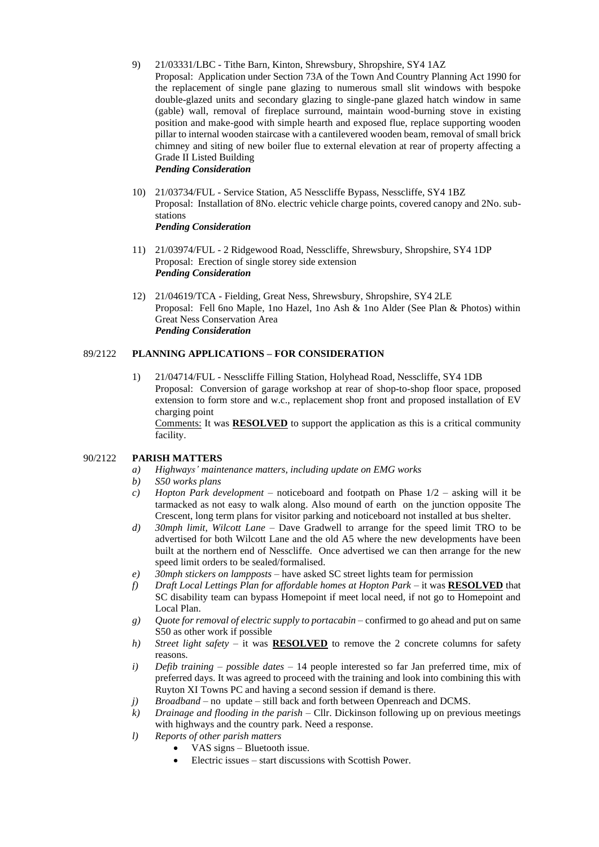- 9) 21/03331/LBC Tithe Barn, Kinton, Shrewsbury, Shropshire, SY4 1AZ Proposal: Application under Section 73A of the Town And Country Planning Act 1990 for the replacement of single pane glazing to numerous small slit windows with bespoke double-glazed units and secondary glazing to single-pane glazed hatch window in same (gable) wall, removal of fireplace surround, maintain wood-burning stove in existing position and make-good with simple hearth and exposed flue, replace supporting wooden pillar to internal wooden staircase with a cantilevered wooden beam, removal of small brick chimney and siting of new boiler flue to external elevation at rear of property affecting a Grade II Listed Building *Pending Consideration*
- 10) 21/03734/FUL Service Station, A5 Nesscliffe Bypass, Nesscliffe, SY4 1BZ Proposal: Installation of 8No. electric vehicle charge points, covered canopy and 2No. substations *Pending Consideration*
- 11) 21/03974/FUL 2 Ridgewood Road, Nesscliffe, Shrewsbury, Shropshire, SY4 1DP Proposal: Erection of single storey side extension *Pending Consideration*
- 12) 21/04619/TCA Fielding, Great Ness, Shrewsbury, Shropshire, SY4 2LE Proposal: Fell 6no Maple, 1no Hazel, 1no Ash & 1no Alder (See Plan & Photos) within Great Ness Conservation Area *Pending Consideration*

## 89/2122 **PLANNING APPLICATIONS – FOR CONSIDERATION**

1) 21/04714/FUL - Nesscliffe Filling Station, Holyhead Road, Nesscliffe, SY4 1DB Proposal: Conversion of garage workshop at rear of shop-to-shop floor space, proposed extension to form store and w.c., replacement shop front and proposed installation of EV charging point Comments: It was **RESOLVED** to support the application as this is a critical community facility.

## 90/2122 **PARISH MATTERS**

- *a) Highways' maintenance matters, including update on EMG works*
- *b) S50 works plans*
- *c) Hopton Park development –* noticeboard and footpath on Phase 1/2 asking will it be tarmacked as not easy to walk along. Also mound of earth on the junction opposite The Crescent, long term plans for visitor parking and noticeboard not installed at bus shelter.
- *d) 30mph limit, Wilcott Lane* Dave Gradwell to arrange for the speed limit TRO to be advertised for both Wilcott Lane and the old A5 where the new developments have been built at the northern end of Nesscliffe. Once advertised we can then arrange for the new speed limit orders to be sealed/formalised.
- *e) 30mph stickers on lampposts –* have asked SC street lights team for permission
- *f) Draft Local Lettings Plan for affordable homes at Hopton Park –* it was **RESOLVED** that SC disability team can bypass Homepoint if meet local need, if not go to Homepoint and Local Plan.
- *g) Quote for removal of electric supply to portacabin* confirmed to go ahead and put on same S50 as other work if possible
- *h) Street light safety* it was **RESOLVED** to remove the 2 concrete columns for safety reasons.
- *i) Defib training – possible dates –* 14 people interested so far Jan preferred time, mix of preferred days. It was agreed to proceed with the training and look into combining this with Ruyton XI Towns PC and having a second session if demand is there.
- *j*) *Broadband* no update still back and forth between Openreach and DCMS.
- *k) Drainage and flooding in the parish* Cllr. Dickinson following up on previous meetings with highways and the country park. Need a response.
- *l) Reports of other parish matters* 
	- VAS signs Bluetooth issue.
	- Electric issues start discussions with Scottish Power.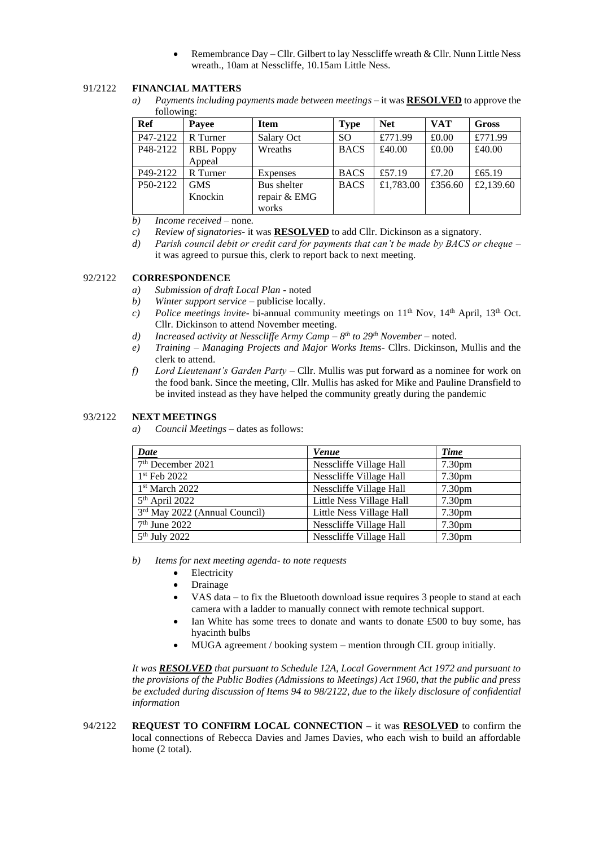• Remembrance Day – Cllr. Gilbert to lay Nesscliffe wreath & Cllr. Nunn Little Ness wreath., 10am at Nesscliffe, 10.15am Little Ness.

# 91/2122 **FINANCIAL MATTERS**

*a) Payments including payments made between meetings –* it was **RESOLVED** to approve the following:

| Ref      | Payee                      | <b>Item</b>                          | <b>Type</b>   | <b>Net</b> | <b>VAT</b> | <b>Gross</b> |
|----------|----------------------------|--------------------------------------|---------------|------------|------------|--------------|
| P47-2122 | R Turner                   | Salary Oct                           | <sub>SO</sub> | £771.99    | £0.00      | £771.99      |
| P48-2122 | <b>RBL</b> Poppy<br>Appeal | Wreaths                              | <b>BACS</b>   | £40.00     | £0.00      | £40.00       |
| P49-2122 | R Turner                   | Expenses                             | <b>BACS</b>   | £57.19     | £7.20      | £65.19       |
| P50-2122 | <b>GMS</b><br>Knockin      | Bus shelter<br>repair & EMG<br>works | <b>BACS</b>   | £1,783.00  | £356.60    | £2,139.60    |

*b) Income received* – none.

- *c) Review of signatories* it was **RESOLVED** to add Cllr. Dickinson as a signatory.
- *d) Parish council debit or credit card for payments that can't be made by BACS or cheque* it was agreed to pursue this, clerk to report back to next meeting.

## 92/2122 **CORRESPONDENCE**

- *a) Submission of draft Local Plan* noted
- *b) Winter support service* publicise locally.
- *c*) *Police meetings invite* bi-annual community meetings on 11<sup>th</sup> Nov, 14<sup>th</sup> April, 13<sup>th</sup> Oct. Cllr. Dickinson to attend November meeting.
- *d) Increased activity at Nesscliffe Army Camp – 8 th to 29th November*  noted.
- *e) Training – Managing Projects and Major Works Items* Cllrs. Dickinson, Mullis and the clerk to attend.
- *f) Lord Lieutenant's Garden Party*  Cllr. Mullis was put forward as a nominee for work on the food bank. Since the meeting, Cllr. Mullis has asked for Mike and Pauline Dransfield to be invited instead as they have helped the community greatly during the pandemic

#### 93/2122 **NEXT MEETINGS**

*a) Council Meetings –* dates as follows:

| Date                            | <b>Venue</b>             | Time               |
|---------------------------------|--------------------------|--------------------|
| 7 <sup>th</sup> December 2021   | Nesscliffe Village Hall  | 7.30 <sub>pm</sub> |
| $1st$ Feb 2022                  | Nesscliffe Village Hall  | 7.30 <sub>pm</sub> |
| 1 <sup>st</sup> March 2022      | Nesscliffe Village Hall  | 7.30 <sub>pm</sub> |
| $5th$ April 2022                | Little Ness Village Hall | 7.30 <sub>pm</sub> |
| $3rd$ May 2022 (Annual Council) | Little Ness Village Hall | 7.30 <sub>pm</sub> |
| 7 <sup>th</sup> June 2022       | Nesscliffe Village Hall  | 7.30 <sub>pm</sub> |
| $5th$ July 2022                 | Nesscliffe Village Hall  | 7.30 <sub>pm</sub> |

- *b) Items for next meeting agenda- to note requests*
	- Electricity
	- **Drainage**
	- VAS data to fix the Bluetooth download issue requires 3 people to stand at each camera with a ladder to manually connect with remote technical support.
	- Ian White has some trees to donate and wants to donate £500 to buy some, has hyacinth bulbs
	- MUGA agreement / booking system mention through CIL group initially.

*It was RESOLVED that pursuant to Schedule 12A, Local Government Act 1972 and pursuant to the provisions of the Public Bodies (Admissions to Meetings) Act 1960, that the public and press be excluded during discussion of Items 94 to 98/2122, due to the likely disclosure of confidential information*

94/2122 **REQUEST TO CONFIRM LOCAL CONNECTION –** it was **RESOLVED** to confirm the local connections of Rebecca Davies and James Davies, who each wish to build an affordable home (2 total).